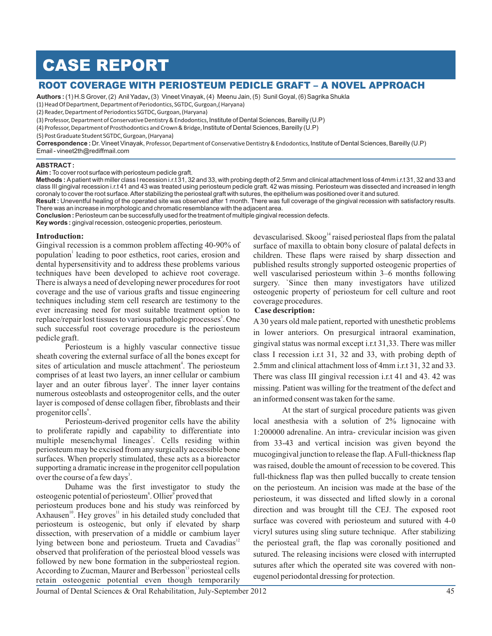# CASE REPORT

## ROOT COVERAGE WITH PERIOSTEUM PEDICLE GRAFT – A NOVEL APPROACH

**Authors :** (1) H.S Grover, (2) Anil Yadav**,** (3) Vineet Vinayak, (4) Meenu Jain, (5) Sunil Goyal, (6) Sagrika Shukla

(1) Head Of Department, Department of Periodontics, SGTDC, Gurgoan,( Haryana)

(2) Reader, Department of Periodontics SGTDC, Gurgoan, (Haryana)

(3) Professor, Department of Conservative Dentistry & Endodontics, Institute of Dental Sciences, Bareilly (U.P)

(4) Professor, Department of Prosthodontics and Crown & Bridge, Institute of Dental Sciences, Bareilly (U.P)

(5) Post Graduate Student SGTDC, Gurgoan, (Haryana)

 ${\sf Corrected}$  : Dr. Vineet Vinayak, Professor, Department of Conservative Dentistry & Endodontics, Institute of Dental Sciences, Bareilly (U.P) Email - vineet2th@rediffmail.com

#### **ABSTRACT :**

**Aim :** To cover root surface with periosteum pedicle graft.

**Methods :** A patient with miller class I recession i.r.t 31, 32 and 33, with probing depth of 2.5mm and clinical attachment loss of 4mm i.r.t 31, 32 and 33 and class III gingival recession i.r.t 41 and 43 was treated using periosteum pedicle graft. 42 was missing. Periosteum was dissected and increased in length coronaly to cover the root surface. After stabilizing the periosteal graft with sutures, the epithelium was positioned over it and sutured.

**Result :** Uneventful healing of the operated site was observed after 1 month. There was full coverage of the gingival recession with satisfactory results. There was an increase in morphologic and chromatic resemblance with the adjacent area.

**Conclusion :** Periosteum can be successfully used for the treatment of multiple gingival recession defects.

**Key words :** gingival recession, osteogenic properties, periosteum.

#### **Introduction:**

Gingival recession is a common problem affecting 40-90% of population<sup>1</sup> leading to poor esthetics, root caries, erosion and dental hypersensitivity and to address these problems various techniques have been developed to achieve root coverage. There is always a need of developing newer procedures for root coverage and the use of various grafts and tissue engineering techniques including stem cell research are testimony to the ever increasing need for most suitable treatment option to replace/repair lost tissues to various pathologic processes<sup>3</sup>. One such successful root coverage procedure is the periosteum pedicle graft.

Periosteum is a highly vascular connective tissue sheath covering the external surface of all the bones except for sites of articulation and muscle attachment<sup>4</sup>. The periosteum comprises of at least two layers, an inner cellular or cambium layer and an outer fibrous layer<sup>5</sup>. The inner layer contains numerous osteoblasts and osteoprogenitor cells, and the outer layer is composed of dense collagen fiber, fibroblasts and their progenitor cells<sup>6</sup>.

Periosteum-derived progenitor cells have the ability to proliferate rapidly and capability to differentiate into multiple mesenchymal lineages<sup>3</sup>. Cells residing within periosteum may be excised from any surgically accessible bone surfaces. When properly stimulated, these acts as a bioreactor supporting a dramatic increase in the progenitor cell population over the course of a few days<sup>3</sup>.

Duhame was the first investigator to study the osteogenic potential of periosteum<sup>8</sup>. Ollier<sup>9</sup> proved that periosteum produces bone and his study was reinforced by Axhausen<sup>10</sup>. Hey groves<sup>11</sup> in his detailed study concluded that periosteum is osteogenic, but only if elevated by sharp dissection, with preservation of a middle or cambium layer lying between bone and periosteum. Trueta and Cavadias<sup>12</sup> observed that proliferation of the periosteal blood vessels was followed by new bone formation in the subperiosteal region. According to Zucman, Maurer and Berbesson<sup>13</sup> periosteal cells retain osteogenic potential even though temporarily

devascularised. Skoog<sup>14</sup> raised periosteal flaps from the palatal surface of maxilla to obtain bony closure of palatal defects in children. These flaps were raised by sharp dissection and published results strongly supported osteogenic properties of well vascularised periosteum within 3–6 months following surgery. `Since then many investigators have utilized osteogenic property of periosteum for cell culture and root coverage procedures.

#### **Case description:**

A 30 years old male patient, reported with unesthetic problems in lower anteriors. On presurgical intraoral examination, gingival status was normal except i.r.t 31,33. There was miller class I recession i.r.t 31, 32 and 33, with probing depth of 2.5mm and clinical attachment loss of 4mm i.r.t 31, 32 and 33. There was class III gingival recession i.r.t 41 and 43. 42 was missing. Patient was willing for the treatment of the defect and an informed consent was taken for the same.

At the start of surgical procedure patients was given local anesthesia with a solution of 2% lignocaine with 1:200000 adrenaline. An intra- crevicular incision was given from 33-43 and vertical incision was given beyond the mucogingival junction to release the flap. A Full-thickness flap was raised, double the amount of recession to be covered. This full-thickness flap was then pulled buccally to create tension on the periosteum. An incision was made at the base of the periosteum, it was dissected and lifted slowly in a coronal direction and was brought till the CEJ. The exposed root surface was covered with periosteum and sutured with 4-0 vicryl sutures using sling suture technique. After stabilizing the periosteal graft, the flap was coronally positioned and sutured. The releasing incisions were closed with interrupted sutures after which the operated site was covered with noneugenol periodontal dressing for protection.

Journal of Dental Sciences & Oral Rehabilitation, July-September 2012 45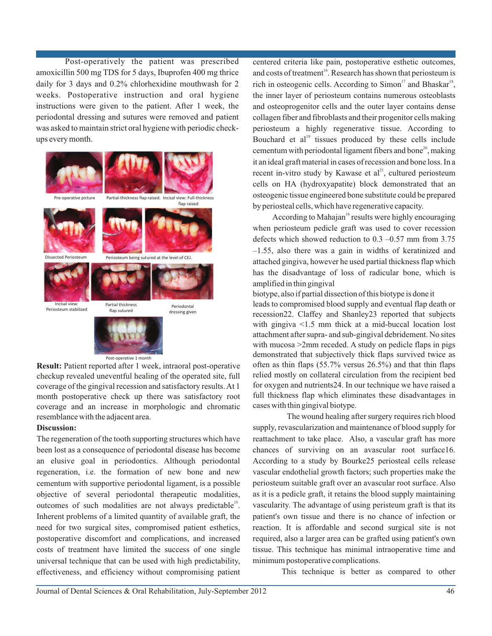Post-operatively the patient was prescribed amoxicillin 500 mg TDS for 5 days, Ibuprofen 400 mg thrice daily for 3 days and 0.2% chlorhexidine mouthwash for 2 weeks. Postoperative instruction and oral hygiene instructions were given to the patient. After 1 week, the periodontal dressing and sutures were removed and patient was asked to maintain strict oral hygiene with periodic checkups every month.



**Result:** Patient reported after 1 week, intraoral post-operative checkup revealed uneventful healing of the operated site, full coverage of the gingival recession and satisfactory results. At 1 month postoperative check up there was satisfactory root coverage and an increase in morphologic and chromatic resemblance with the adjacent area.

#### **Discussion:**

The regeneration of the tooth supporting structures which have been lost as a consequence of periodontal disease has become an elusive goal in periodontics. Although periodontal regeneration, i.e. the formation of new bone and new cementum with supportive periodontal ligament, is a possible objective of several periodontal therapeutic modalities, outcomes of such modalities are not always predictable<sup>15</sup>. Inherent problems of a limited quantity of available graft, the need for two surgical sites, compromised patient esthetics, postoperative discomfort and complications, and increased costs of treatment have limited the success of one single universal technique that can be used with high predictability, effectiveness, and efficiency without compromising patient centered criteria like pain, postoperative esthetic outcomes, and costs of treatment<sup>16</sup>. Research has shown that periosteum is rich in osteogenic cells. According to Simon<sup>17</sup> and Bhaskar<sup>18</sup>, the inner layer of periosteum contains numerous osteoblasts and osteoprogenitor cells and the outer layer contains dense collagen fiber and fibroblasts and their progenitor cells making periosteum a highly regenerative tissue. According to Bouchard et al<sup> $19$ </sup> tissues produced by these cells include cementum with periodontal ligament fibers and bone<sup>20</sup>, making it an ideal graft material in cases of recession and bone loss. In a recent in-vitro study by Kawase et  $al^{21}$ , cultured periosteum cells on HA (hydroxyapatite) block demonstrated that an osteogenic tissue engineered bone substitute could be prepared by periosteal cells, which have regenerative capacity.

According to Mahajan<sup>16</sup> results were highly encouraging when periosteum pedicle graft was used to cover recession defects which showed reduction to 0.3 –0.57 mm from 3.75 –1.55, also there was a gain in widths of keratinized and attached gingiva, however he used partial thickness flap which has the disadvantage of loss of radicular bone, which is amplified in thin gingival

biotype, also if partial dissection of this biotype is done it leads to compromised blood supply and eventual flap death or recession22. Claffey and Shanley23 reported that subjects with gingiva  $\leq 1.5$  mm thick at a mid-buccal location lost attachment after supra- and sub-gingival debridement. No sites with mucosa >2mm receded. A study on pedicle flaps in pigs demonstrated that subjectively thick flaps survived twice as often as thin flaps (55.7% versus 26.5%) and that thin flaps relied mostly on collateral circulation from the recipient bed for oxygen and nutrients24. In our technique we have raised a full thickness flap which eliminates these disadvantages in cases with thin gingival biotype.

 The wound healing after surgery requires rich blood supply, revascularization and maintenance of blood supply for reattachment to take place. Also, a vascular graft has more chances of surviving on an avascular root surface16. According to a study by Bourke25 periosteal cells release vascular endothelial growth factors; such properties make the periosteum suitable graft over an avascular root surface. Also as it is a pedicle graft, it retains the blood supply maintaining vascularity. The advantage of using peristeum graft is that its patient's own tissue and there is no chance of infection or reaction. It is affordable and second surgical site is not required, also a larger area can be grafted using patient's own tissue. This technique has minimal intraoperative time and minimum postoperative complications.

This technique is better as compared to other